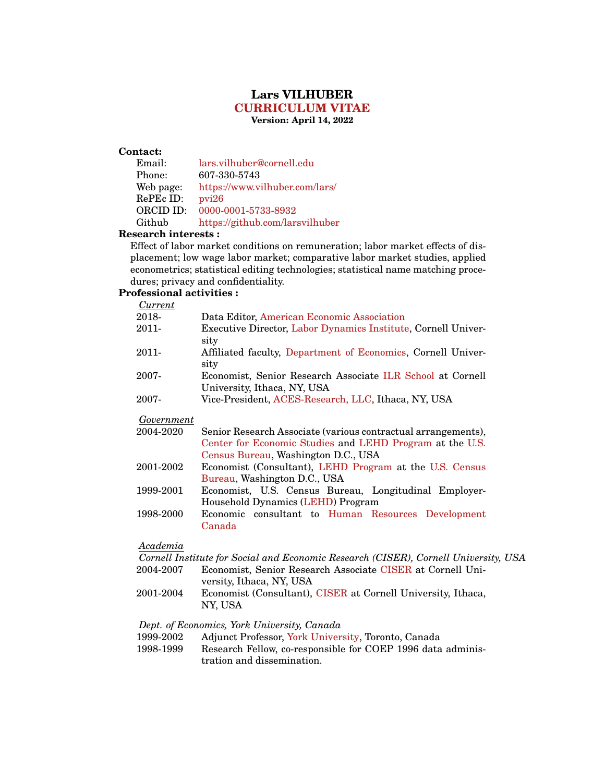# **Lars VILHUBER [CURRICULUM VITAE](https://lars.vilhuber.com/lars/academia/cv) Version: April 14, 2022**

### **Contact:**

| Email:    | lars.vilhuber@cornell.edu       |
|-----------|---------------------------------|
| Phone:    | 607-330-5743                    |
| Web page: | https://www.vilhuber.com/lars/  |
| RePEc ID: | pvi26                           |
| ORCID ID: | 0000-0001-5733-8932             |
| Github    | https://github.com/larsvilhuber |

#### **Research interests :**

Effect of labor market conditions on remuneration; labor market effects of displacement; low wage labor market; comparative labor market studies, applied econometrics; statistical editing technologies; statistical name matching procedures; privacy and confidentiality.

# **Professional activities :**

*Current*

| 2018-    | Data Editor, American Economic Association                                                |
|----------|-------------------------------------------------------------------------------------------|
| $2011 -$ | Executive Director, Labor Dynamics Institute, Cornell Univer-<br>sity                     |
| $2011 -$ | Affiliated faculty, Department of Economics, Cornell Univer-<br>sity                      |
| 2007-    | Economist, Senior Research Associate ILR School at Cornell<br>University, Ithaca, NY, USA |
| 2007-    | Vice-President, ACES-Research, LLC, Ithaca, NY, USA                                       |

#### *Government*

| 2004-2020 | Senior Research Associate (various contractual arrangements),                                           |
|-----------|---------------------------------------------------------------------------------------------------------|
|           | Center for Economic Studies and LEHD Program at the U.S.                                                |
|           | Census Bureau, Washington D.C., USA                                                                     |
| ററവ റെറ   | $F_{\text{conormist}}$ $(C_{\text{con}}\text{Hanh})$ LEHD $D_{\text{recon}}$ at the HC $C_{\text{con}}$ |

- 2001-2002 Economist (Consultant), [LEHD Program](https://lehd.ces.census.gov) at the [U.S. Census](https://www.census.gov) [Bureau,](https://www.census.gov) Washington D.C., USA
- 1999-2001 Economist, U.S. Census Bureau, Longitudinal Employer-Household Dynamics [\(LEHD\)](https://lehd.ces.census.gov) Program
- 1998-2000 Economic consultant to [Human Resources Development](http://www.hrdc-drhc.gc.ca/) [Canada](http://www.hrdc-drhc.gc.ca/)

## *Academia*

|           | Cornell Institute for Social and Economic Research (CISER), Cornell University, USA |
|-----------|-------------------------------------------------------------------------------------|
| 2004-2007 | Economist, Senior Research Associate CISER at Cornell Uni-                          |
|           | versity, Ithaca, NY, USA                                                            |
| 2001-2004 | Economist (Consultant), CISER at Cornell University, Ithaca,<br>NY. USA             |

### *Dept. of Economics, York University, Canada*

| 1999-2002 | Adjunct Professor, York University, Toronto, Canada |  |  |  |  |
|-----------|-----------------------------------------------------|--|--|--|--|
|-----------|-----------------------------------------------------|--|--|--|--|

1998-1999 Research Fellow, co-responsible for COEP 1996 data administration and dissemination.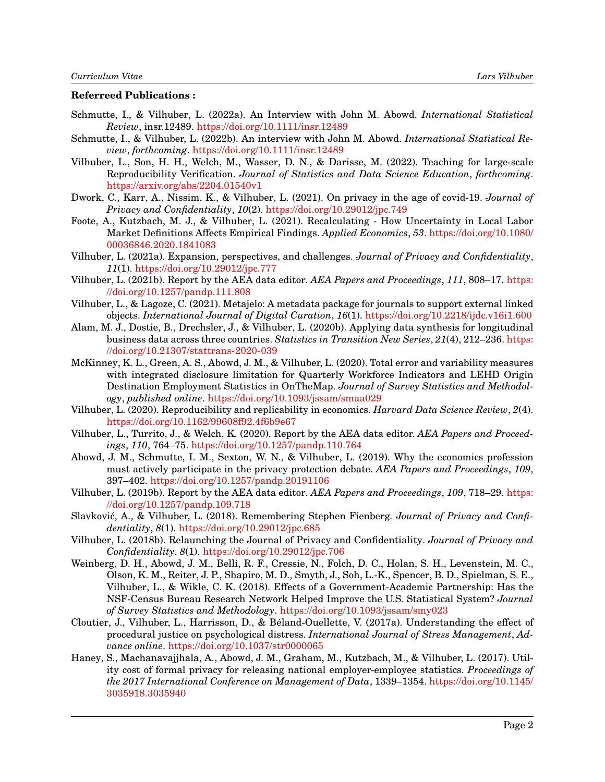# **Referreed Publications :**

- Schmutte, I., & Vilhuber, L. (2022a). An Interview with John M. Abowd. *International Statistical Review*, insr.12489. <https://doi.org/10.1111/insr.12489>
- Schmutte, I., & Vilhuber, L. (2022b). An interview with John M. Abowd. *International Statistical Review*, *forthcoming*. <https://doi.org/10.1111/insr.12489>
- Vilhuber, L., Son, H. H., Welch, M., Wasser, D. N., & Darisse, M. (2022). Teaching for large-scale Reproducibility Verification. *Journal of Statistics and Data Science Education*, *forthcoming*. <https://arxiv.org/abs/2204.01540v1>
- Dwork, C., Karr, A., Nissim, K., & Vilhuber, L. (2021). On privacy in the age of covid-19. *Journal of Privacy and Confidentiality*, *10*(2). <https://doi.org/10.29012/jpc.749>
- Foote, A., Kutzbach, M. J., & Vilhuber, L. (2021). Recalculating How Uncertainty in Local Labor Market Definitions Affects Empirical Findings. *Applied Economics*, *53*. [https://doi.org/10.1080/](https://doi.org/10.1080/00036846.2020.1841083) [00036846.2020.1841083](https://doi.org/10.1080/00036846.2020.1841083)
- Vilhuber, L. (2021a). Expansion, perspectives, and challenges. *Journal of Privacy and Confidentiality*, *11*(1). <https://doi.org/10.29012/jpc.777>
- Vilhuber, L. (2021b). Report by the AEA data editor. *AEA Papers and Proceedings*, *111*, 808–17. [https:](https://doi.org/10.1257/pandp.111.808) [//doi.org/10.1257/pandp.111.808](https://doi.org/10.1257/pandp.111.808)
- Vilhuber, L., & Lagoze, C. (2021). Metajelo: A metadata package for journals to support external linked objects. *International Journal of Digital Curation*, *16*(1). <https://doi.org/10.2218/ijdc.v16i1.600>
- Alam, M. J., Dostie, B., Drechsler, J., & Vilhuber, L. (2020b). Applying data synthesis for longitudinal business data across three countries. *Statistics in Transition New Series*, *21*(4), 212–236. [https:](https://doi.org/10.21307/stattrans-2020-039) [//doi.org/10.21307/stattrans-2020-039](https://doi.org/10.21307/stattrans-2020-039)
- McKinney, K. L., Green, A. S., Abowd, J. M., & Vilhuber, L. (2020). Total error and variability measures with integrated disclosure limitation for Quarterly Workforce Indicators and LEHD Origin Destination Employment Statistics in OnTheMap. *Journal of Survey Statistics and Methodology*, *published online*. <https://doi.org/10.1093/jssam/smaa029>
- Vilhuber, L. (2020). Reproducibility and replicability in economics. *Harvard Data Science Review*, *2*(4). <https://doi.org/10.1162/99608f92.4f6b9e67>
- Vilhuber, L., Turrito, J., & Welch, K. (2020). Report by the AEA data editor. *AEA Papers and Proceedings*, *110*, 764–75. <https://doi.org/10.1257/pandp.110.764>
- Abowd, J. M., Schmutte, I. M., Sexton, W. N., & Vilhuber, L. (2019). Why the economics profession must actively participate in the privacy protection debate. *AEA Papers and Proceedings*, *109*, 397–402. <https://doi.org/10.1257/pandp.20191106>
- Vilhuber, L. (2019b). Report by the AEA data editor. *AEA Papers and Proceedings*, *109*, 718–29. [https:](https://doi.org/10.1257/pandp.109.718) [//doi.org/10.1257/pandp.109.718](https://doi.org/10.1257/pandp.109.718)
- Slavkovic, A., & Vilhuber, L. (2018). Remembering Stephen Fienberg. ´ *Journal of Privacy and Confidentiality*, *8*(1). <https://doi.org/10.29012/jpc.685>
- Vilhuber, L. (2018b). Relaunching the Journal of Privacy and Confidentiality. *Journal of Privacy and Confidentiality*, *8*(1). <https://doi.org/10.29012/jpc.706>
- <span id="page-1-0"></span>Weinberg, D. H., Abowd, J. M., Belli, R. F., Cressie, N., Folch, D. C., Holan, S. H., Levenstein, M. C., Olson, K. M., Reiter, J. P., Shapiro, M. D., Smyth, J., Soh, L.-K., Spencer, B. D., Spielman, S. E., Vilhuber, L., & Wikle, C. K. (2018). Effects of a Government-Academic Partnership: Has the NSF-Census Bureau Research Network Helped Improve the U.S. Statistical System? *Journal of Survey Statistics and Methodology*. <https://doi.org/10.1093/jssam/smy023>
- Cloutier, J., Vilhuber, L., Harrisson, D., & Beland-Ouellette, V. (2017a). Understanding the effect of ´ procedural justice on psychological distress. *International Journal of Stress Management*, *Advance online*. <https://doi.org/10.1037/str0000065>
- Haney, S., Machanavajjhala, A., Abowd, J. M., Graham, M., Kutzbach, M., & Vilhuber, L. (2017). Utility cost of formal privacy for releasing national employer-employee statistics. *Proceedings of the 2017 International Conference on Management of Data*, 1339–1354. [https://doi.org/10.1145/](https://doi.org/10.1145/3035918.3035940) [3035918.3035940](https://doi.org/10.1145/3035918.3035940)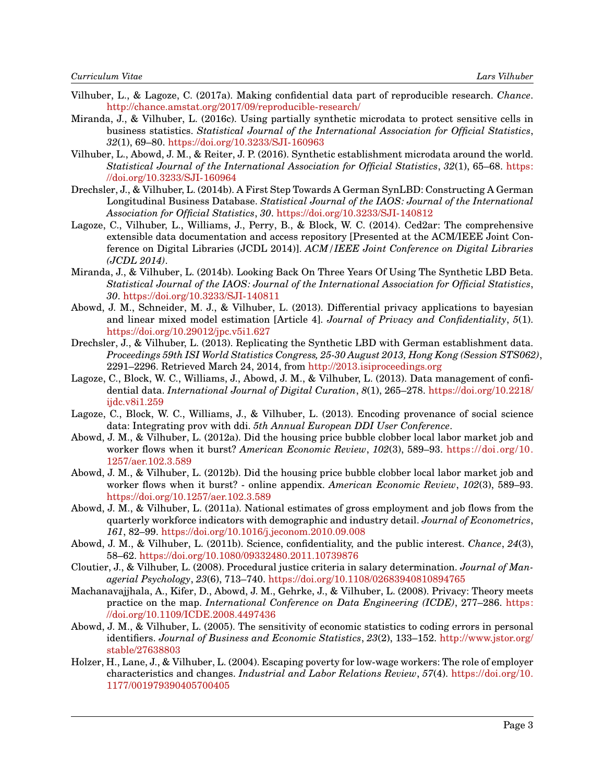- Vilhuber, L., & Lagoze, C. (2017a). Making confidential data part of reproducible research. *Chance*. <http://chance.amstat.org/2017/09/reproducible-research/>
- Miranda, J., & Vilhuber, L. (2016c). Using partially synthetic microdata to protect sensitive cells in business statistics. *Statistical Journal of the International Association for Official Statistics*, *32*(1), 69–80. <https://doi.org/10.3233/SJI-160963>
- Vilhuber, L., Abowd, J. M., & Reiter, J. P. (2016). Synthetic establishment microdata around the world. *Statistical Journal of the International Association for Official Statistics*, *32*(1), 65–68. [https:](https://doi.org/10.3233/SJI-160964) [//doi.org/10.3233/SJI-160964](https://doi.org/10.3233/SJI-160964)
- Drechsler, J., & Vilhuber, L. (2014b). A First Step Towards A German SynLBD: Constructing A German Longitudinal Business Database. *Statistical Journal of the IAOS: Journal of the International Association for Official Statistics*, *30*. <https://doi.org/10.3233/SJI-140812>
- Lagoze, C., Vilhuber, L., Williams, J., Perry, B., & Block, W. C. (2014). Ced2ar: The comprehensive extensible data documentation and access repository [Presented at the ACM/IEEE Joint Conference on Digital Libraries (JCDL 2014)]. *ACM/IEEE Joint Conference on Digital Libraries (JCDL 2014)*.
- Miranda, J., & Vilhuber, L. (2014b). Looking Back On Three Years Of Using The Synthetic LBD Beta. *Statistical Journal of the IAOS: Journal of the International Association for Official Statistics*, *30*. <https://doi.org/10.3233/SJI-140811>
- Abowd, J. M., Schneider, M. J., & Vilhuber, L. (2013). Differential privacy applications to bayesian and linear mixed model estimation [Article 4]. *Journal of Privacy and Confidentiality*, *5*(1). <https://doi.org/10.29012/jpc.v5i1.627>
- Drechsler, J., & Vilhuber, L. (2013). Replicating the Synthetic LBD with German establishment data. *Proceedings 59th ISI World Statistics Congress, 25-30 August 2013, Hong Kong (Session STS062)*, 2291–2296. Retrieved March 24, 2014, from <http://2013.isiproceedings.org>
- Lagoze, C., Block, W. C., Williams, J., Abowd, J. M., & Vilhuber, L. (2013). Data management of confidential data. *International Journal of Digital Curation*, *8*(1), 265–278. [https://doi.org/10.2218/](https://doi.org/10.2218/ijdc.v8i1.259) [ijdc.v8i1.259](https://doi.org/10.2218/ijdc.v8i1.259)
- Lagoze, C., Block, W. C., Williams, J., & Vilhuber, L. (2013). Encoding provenance of social science data: Integrating prov with ddi. *5th Annual European DDI User Conference*.
- Abowd, J. M., & Vilhuber, L. (2012a). Did the housing price bubble clobber local labor market job and worker flows when it burst? *American Economic Review*, *102*(3), 589–93. [https://doi.org/10.](https://doi.org/10.1257/aer.102.3.589) [1257/aer.102.3.589](https://doi.org/10.1257/aer.102.3.589)
- Abowd, J. M., & Vilhuber, L. (2012b). Did the housing price bubble clobber local labor market job and worker flows when it burst? - online appendix. *American Economic Review*, *102*(3), 589–93. <https://doi.org/10.1257/aer.102.3.589>
- Abowd, J. M., & Vilhuber, L. (2011a). National estimates of gross employment and job flows from the quarterly workforce indicators with demographic and industry detail. *Journal of Econometrics*, *161*, 82–99. <https://doi.org/10.1016/j.jeconom.2010.09.008>
- Abowd, J. M., & Vilhuber, L. (2011b). Science, confidentiality, and the public interest. *Chance*, *24*(3), 58–62. <https://doi.org/10.1080/09332480.2011.10739876>
- Cloutier, J., & Vilhuber, L. (2008). Procedural justice criteria in salary determination. *Journal of Managerial Psychology*, *23*(6), 713–740. <https://doi.org/10.1108/02683940810894765>
- Machanavajjhala, A., Kifer, D., Abowd, J. M., Gehrke, J., & Vilhuber, L. (2008). Privacy: Theory meets practice on the map. *International Conference on Data Engineering (ICDE)*, 277–286. [https:](https://doi.org/10.1109/ICDE.2008.4497436) [//doi.org/10.1109/ICDE.2008.4497436](https://doi.org/10.1109/ICDE.2008.4497436)
- Abowd, J. M., & Vilhuber, L. (2005). The sensitivity of economic statistics to coding errors in personal identifiers. *Journal of Business and Economic Statistics*, *23*(2), 133–152. [http://www.jstor.org/](http://www.jstor.org/stable/27638803) [stable/27638803](http://www.jstor.org/stable/27638803)
- Holzer, H., Lane, J., & Vilhuber, L. (2004). Escaping poverty for low-wage workers: The role of employer characteristics and changes. *Industrial and Labor Relations Review*, *57*(4). [https://doi.org/10.](https://doi.org/10.1177/001979390405700405) [1177/001979390405700405](https://doi.org/10.1177/001979390405700405)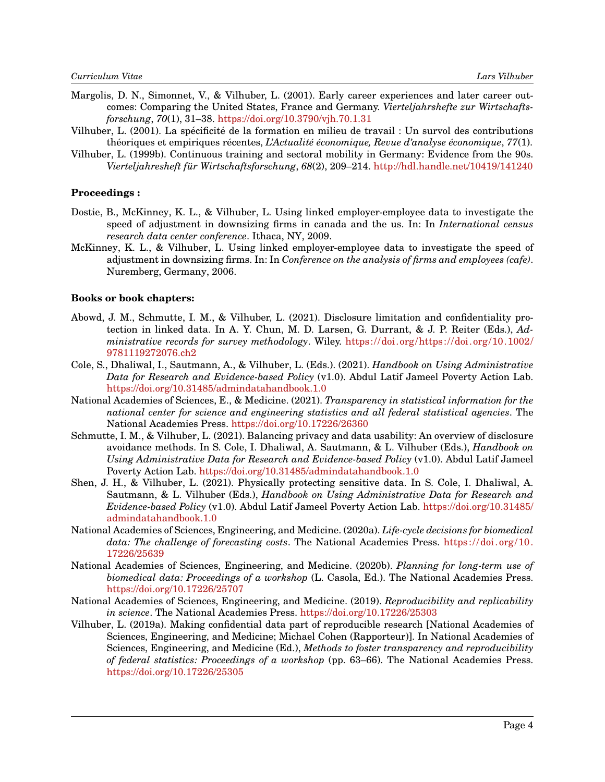- Margolis, D. N., Simonnet, V., & Vilhuber, L. (2001). Early career experiences and later career outcomes: Comparing the United States, France and Germany. *Vierteljahrshefte zur Wirtschaftsforschung*, *70*(1), 31–38. <https://doi.org/10.3790/vjh.70.1.31>
- Vilhuber, L. (2001). La spécificité de la formation en milieu de travail : Un survol des contributions théoriques et empiriques récentes, *L'Actualité économique, Revue d'analyse économique*, 77(1).
- Vilhuber, L. (1999b). Continuous training and sectoral mobility in Germany: Evidence from the 90s. *Vierteljahresheft f ¨ur Wirtschaftsforschung*, *68*(2), 209–214. <http://hdl.handle.net/10419/141240>

#### **Proceedings :**

- Dostie, B., McKinney, K. L., & Vilhuber, L. Using linked employer-employee data to investigate the speed of adjustment in downsizing firms in canada and the us. In: In *International census research data center conference*. Ithaca, NY, 2009.
- McKinney, K. L., & Vilhuber, L. Using linked employer-employee data to investigate the speed of adjustment in downsizing firms. In: In *Conference on the analysis of firms and employees (cafe)*. Nuremberg, Germany, 2006.

### **Books or book chapters:**

- Abowd, J. M., Schmutte, I. M., & Vilhuber, L. (2021). Disclosure limitation and confidentiality protection in linked data. In A. Y. Chun, M. D. Larsen, G. Durrant, & J. P. Reiter (Eds.), *Administrative records for survey methodology*. Wiley. [https://doi.org/https://doi.org/10.1002/](https://doi.org/https://doi.org/10.1002/9781119272076.ch2) [9781119272076.ch2](https://doi.org/https://doi.org/10.1002/9781119272076.ch2)
- Cole, S., Dhaliwal, I., Sautmann, A., & Vilhuber, L. (Eds.). (2021). *Handbook on Using Administrative Data for Research and Evidence-based Policy* (v1.0). Abdul Latif Jameel Poverty Action Lab. <https://doi.org/10.31485/admindatahandbook.1.0>
- National Academies of Sciences, E., & Medicine. (2021). *Transparency in statistical information for the national center for science and engineering statistics and all federal statistical agencies*. The National Academies Press. <https://doi.org/10.17226/26360>
- Schmutte, I. M., & Vilhuber, L. (2021). Balancing privacy and data usability: An overview of disclosure avoidance methods. In S. Cole, I. Dhaliwal, A. Sautmann, & L. Vilhuber (Eds.), *Handbook on Using Administrative Data for Research and Evidence-based Policy* (v1.0). Abdul Latif Jameel Poverty Action Lab. <https://doi.org/10.31485/admindatahandbook.1.0>
- Shen, J. H., & Vilhuber, L. (2021). Physically protecting sensitive data. In S. Cole, I. Dhaliwal, A. Sautmann, & L. Vilhuber (Eds.), *Handbook on Using Administrative Data for Research and Evidence-based Policy* (v1.0). Abdul Latif Jameel Poverty Action Lab. [https://doi.org/10.31485/](https://doi.org/10.31485/admindatahandbook.1.0) [admindatahandbook.1.0](https://doi.org/10.31485/admindatahandbook.1.0)
- National Academies of Sciences, Engineering, and Medicine. (2020a). *Life-cycle decisions for biomedical data: The challenge of forecasting costs*. The National Academies Press. [https://doi.org/10.](https://doi.org/10.17226/25639) [17226/25639](https://doi.org/10.17226/25639)
- National Academies of Sciences, Engineering, and Medicine. (2020b). *Planning for long-term use of biomedical data: Proceedings of a workshop* (L. Casola, Ed.). The National Academies Press. <https://doi.org/10.17226/25707>
- <span id="page-3-1"></span>National Academies of Sciences, Engineering, and Medicine. (2019). *Reproducibility and replicability in science*. The National Academies Press. <https://doi.org/10.17226/25303>
- <span id="page-3-0"></span>Vilhuber, L. (2019a). Making confidential data part of reproducible research [National Academies of Sciences, Engineering, and Medicine; Michael Cohen (Rapporteur)]. In National Academies of Sciences, Engineering, and Medicine (Ed.), *Methods to foster transparency and reproducibility of federal statistics: Proceedings of a workshop* (pp. 63–66). The National Academies Press. <https://doi.org/10.17226/25305>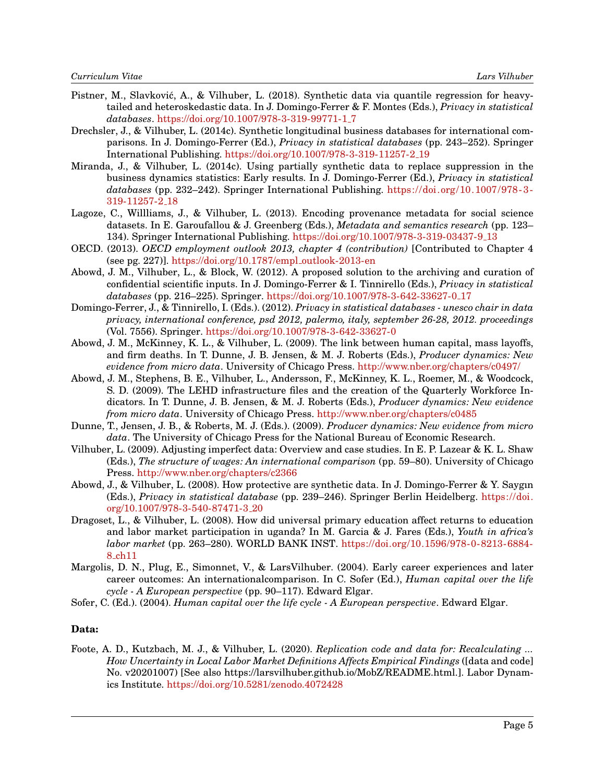- Pistner, M., Slavković, A., & Vilhuber, L. (2018). Synthetic data via quantile regression for heavytailed and heteroskedastic data. In J. Domingo-Ferrer & F. Montes (Eds.), *Privacy in statistical databases*. [https://doi.org/10.1007/978-3-319-99771-1](https://doi.org/10.1007/978-3-319-99771-1_7) 7
- Drechsler, J., & Vilhuber, L. (2014c). Synthetic longitudinal business databases for international comparisons. In J. Domingo-Ferrer (Ed.), *Privacy in statistical databases* (pp. 243–252). Springer International Publishing. [https://doi.org/10.1007/978-3-319-11257-2](https://doi.org/10.1007/978-3-319-11257-2_19) 19
- Miranda, J., & Vilhuber, L. (2014c). Using partially synthetic data to replace suppression in the business dynamics statistics: Early results. In J. Domingo-Ferrer (Ed.), *Privacy in statistical databases* (pp. 232–242). Springer International Publishing. [https://doi.org/10.1007/978-3-](https://doi.org/10.1007/978-3-319-11257-2_18) [319-11257-2](https://doi.org/10.1007/978-3-319-11257-2_18) 18
- Lagoze, C., Willliams, J., & Vilhuber, L. (2013). Encoding provenance metadata for social science datasets. In E. Garoufallou & J. Greenberg (Eds.), *Metadata and semantics research* (pp. 123– 134). Springer International Publishing. [https://doi.org/10.1007/978-3-319-03437-9](https://doi.org/10.1007/978-3-319-03437-9_13) 13
- OECD. (2013). *OECD employment outlook 2013, chapter 4 (contribution)* [Contributed to Chapter 4 (see pg. 227)]. [https://doi.org/10.1787/empl](https://doi.org/10.1787/empl_outlook-2013-en) outlook-2013-en
- Abowd, J. M., Vilhuber, L., & Block, W. (2012). A proposed solution to the archiving and curation of confidential scientific inputs. In J. Domingo-Ferrer & I. Tinnirello (Eds.), *Privacy in statistical databases* (pp. 216–225). Springer. [https://doi.org/10.1007/978-3-642-33627-0](https://doi.org/10.1007/978-3-642-33627-0_17) 17
- Domingo-Ferrer, J., & Tinnirello, I. (Eds.). (2012). *Privacy in statistical databases unesco chair in data privacy, international conference, psd 2012, palermo, italy, september 26-28, 2012. proceedings* (Vol. 7556). Springer. <https://doi.org/10.1007/978-3-642-33627-0>
- Abowd, J. M., McKinney, K. L., & Vilhuber, L. (2009). The link between human capital, mass layoffs, and firm deaths. In T. Dunne, J. B. Jensen, & M. J. Roberts (Eds.), *Producer dynamics: New evidence from micro data*. University of Chicago Press. <http://www.nber.org/chapters/c0497/>
- Abowd, J. M., Stephens, B. E., Vilhuber, L., Andersson, F., McKinney, K. L., Roemer, M., & Woodcock, S. D. (2009). The LEHD infrastructure files and the creation of the Quarterly Workforce Indicators. In T. Dunne, J. B. Jensen, & M. J. Roberts (Eds.), *Producer dynamics: New evidence from micro data*. University of Chicago Press. <http://www.nber.org/chapters/c0485>
- Dunne, T., Jensen, J. B., & Roberts, M. J. (Eds.). (2009). *Producer dynamics: New evidence from micro data*. The University of Chicago Press for the National Bureau of Economic Research.
- Vilhuber, L. (2009). Adjusting imperfect data: Overview and case studies. In E. P. Lazear & K. L. Shaw (Eds.), *The structure of wages: An international comparison* (pp. 59–80). University of Chicago Press. <http://www.nber.org/chapters/c2366>
- Abowd, J., & Vilhuber, L. (2008). How protective are synthetic data. In J. Domingo-Ferrer & Y. Saygın (Eds.), *Privacy in statistical database* (pp. 239–246). Springer Berlin Heidelberg. [https://doi.](https://doi.org/10.1007/978-3-540-87471-3_20) [org/10.1007/978-3-540-87471-3](https://doi.org/10.1007/978-3-540-87471-3_20) 20
- Dragoset, L., & Vilhuber, L. (2008). How did universal primary education affect returns to education and labor market participation in uganda? In M. Garcia & J. Fares (Eds.), *Youth in africa's labor market* (pp. 263–280). WORLD BANK INST. [https://doi.org/10.1596/978-0-8213-6884-](https://doi.org/10.1596/978-0-8213-6884-8_ch11) 8 [ch11](https://doi.org/10.1596/978-0-8213-6884-8_ch11)
- Margolis, D. N., Plug, E., Simonnet, V., & LarsVilhuber. (2004). Early career experiences and later career outcomes: An internationalcomparison. In C. Sofer (Ed.), *Human capital over the life cycle - A European perspective* (pp. 90–117). Edward Elgar.
- Sofer, C. (Ed.). (2004). *Human capital over the life cycle A European perspective*. Edward Elgar.

# **Data:**

Foote, A. D., Kutzbach, M. J., & Vilhuber, L. (2020). *Replication code and data for: Recalculating ... How Uncertainty in Local Labor Market Definitions Affects Empirical Findings* ([data and code] No. v20201007) [See also https://larsvilhuber.github.io/MobZ/README.html.]. Labor Dynamics Institute. <https://doi.org/10.5281/zenodo.4072428>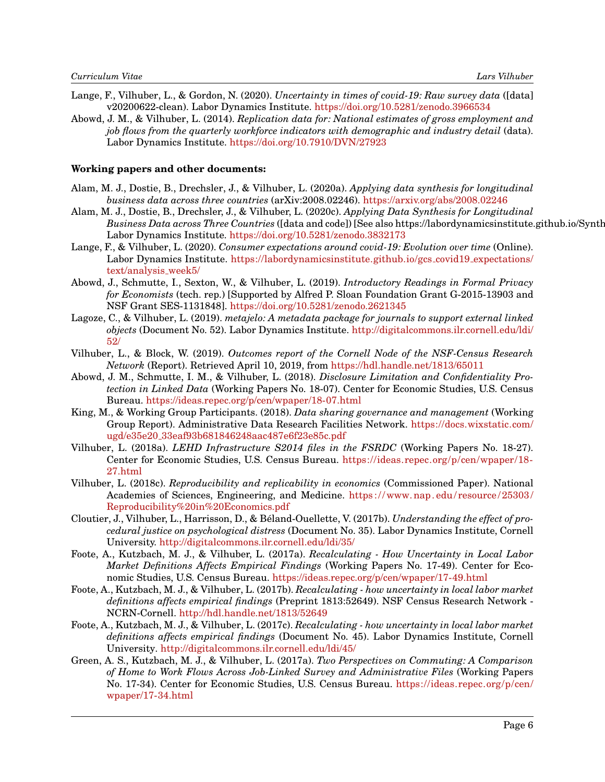- Lange, F., Vilhuber, L., & Gordon, N. (2020). *Uncertainty in times of covid-19: Raw survey data* ([data] v20200622-clean). Labor Dynamics Institute. <https://doi.org/10.5281/zenodo.3966534>
- Abowd, J. M., & Vilhuber, L. (2014). *Replication data for: National estimates of gross employment and job flows from the quarterly workforce indicators with demographic and industry detail* (data). Labor Dynamics Institute. <https://doi.org/10.7910/DVN/27923>

#### **Working papers and other documents:**

- Alam, M. J., Dostie, B., Drechsler, J., & Vilhuber, L. (2020a). *Applying data synthesis for longitudinal business data across three countries* (arXiv:2008.02246). <https://arxiv.org/abs/2008.02246>
- Alam, M. J., Dostie, B., Drechsler, J., & Vilhuber, L. (2020c). *Applying Data Synthesis for Longitudinal Business Data across Three Countries* ([data and code]) [See also https://labordynamicsinstitute.github.io/Synth Labor Dynamics Institute. <https://doi.org/10.5281/zenodo.3832173>
- Lange, F., & Vilhuber, L. (2020). *Consumer expectations around covid-19: Evolution over time* (Online). Labor Dynamics Institute. [https://labordynamicsinstitute.github.io/gcs](https://labordynamicsinstitute.github.io/gcs_covid19_expectations/text/analysis_week5/)\_covid19\_expectations/ [text/analysis](https://labordynamicsinstitute.github.io/gcs_covid19_expectations/text/analysis_week5/) week5/
- Abowd, J., Schmutte, I., Sexton, W., & Vilhuber, L. (2019). *Introductory Readings in Formal Privacy for Economists* (tech. rep.) [Supported by Alfred P. Sloan Foundation Grant G-2015-13903 and NSF Grant SES-1131848]. <https://doi.org/10.5281/zenodo.2621345>
- Lagoze, C., & Vilhuber, L. (2019). *metajelo: A metadata package for journals to support external linked objects* (Document No. 52). Labor Dynamics Institute. [http://digitalcommons.ilr.cornell.edu/ldi/](http://digitalcommons.ilr.cornell.edu/ldi/52/) [52/](http://digitalcommons.ilr.cornell.edu/ldi/52/)
- <span id="page-5-0"></span>Vilhuber, L., & Block, W. (2019). *Outcomes report of the Cornell Node of the NSF-Census Research Network* (Report). Retrieved April 10, 2019, from <https://hdl.handle.net/1813/65011>
- Abowd, J. M., Schmutte, I. M., & Vilhuber, L. (2018). *Disclosure Limitation and Confidentiality Protection in Linked Data* (Working Papers No. 18-07). Center for Economic Studies, U.S. Census Bureau. <https://ideas.repec.org/p/cen/wpaper/18-07.html>
- King, M., & Working Group Participants. (2018). *Data sharing governance and management* (Working Group Report). Administrative Data Research Facilities Network. [https://docs.wixstatic.com/](https://docs.wixstatic.com/ugd/e35e20_33eaf93b681846248aac487e6f23e85c.pdf) ugd/e35e20 [33eaf93b681846248aac487e6f23e85c.pdf](https://docs.wixstatic.com/ugd/e35e20_33eaf93b681846248aac487e6f23e85c.pdf)
- Vilhuber, L. (2018a). *LEHD Infrastructure S2014 files in the FSRDC* (Working Papers No. 18-27). Center for Economic Studies, U.S. Census Bureau. [https://ideas.repec.org/p/cen/wpaper/18-](https://ideas.repec.org/p/cen/wpaper/18-27.html) [27.html](https://ideas.repec.org/p/cen/wpaper/18-27.html)
- <span id="page-5-1"></span>Vilhuber, L. (2018c). *Reproducibility and replicability in economics* (Commissioned Paper). National Academies of Sciences, Engineering, and Medicine. [https://www.nap.edu/resource/25303/](https://www.nap.edu/resource/25303/Reproducibility%20in%20Economics.pdf) [Reproducibility%20in%20Economics.pdf](https://www.nap.edu/resource/25303/Reproducibility%20in%20Economics.pdf)
- Cloutier, J., Vilhuber, L., Harrisson, D., & Beland-Ouellette, V. (2017b). ´ *Understanding the effect of procedural justice on psychological distress* (Document No. 35). Labor Dynamics Institute, Cornell University. <http://digitalcommons.ilr.cornell.edu/ldi/35/>
- Foote, A., Kutzbach, M. J., & Vilhuber, L. (2017a). *Recalculating How Uncertainty in Local Labor Market Definitions Affects Empirical Findings* (Working Papers No. 17-49). Center for Economic Studies, U.S. Census Bureau. <https://ideas.repec.org/p/cen/wpaper/17-49.html>
- Foote, A., Kutzbach, M. J., & Vilhuber, L. (2017b). *Recalculating how uncertainty in local labor market definitions affects empirical findings* (Preprint 1813:52649). NSF Census Research Network - NCRN-Cornell. <http://hdl.handle.net/1813/52649>
- Foote, A., Kutzbach, M. J., & Vilhuber, L. (2017c). *Recalculating how uncertainty in local labor market definitions affects empirical findings* (Document No. 45). Labor Dynamics Institute, Cornell University. <http://digitalcommons.ilr.cornell.edu/ldi/45/>
- Green, A. S., Kutzbach, M. J., & Vilhuber, L. (2017a). *Two Perspectives on Commuting: A Comparison of Home to Work Flows Across Job-Linked Survey and Administrative Files* (Working Papers No. 17-34). Center for Economic Studies, U.S. Census Bureau. [https://ideas.repec.org/p/cen/](https://ideas.repec.org/p/cen/wpaper/17-34.html) [wpaper/17-34.html](https://ideas.repec.org/p/cen/wpaper/17-34.html)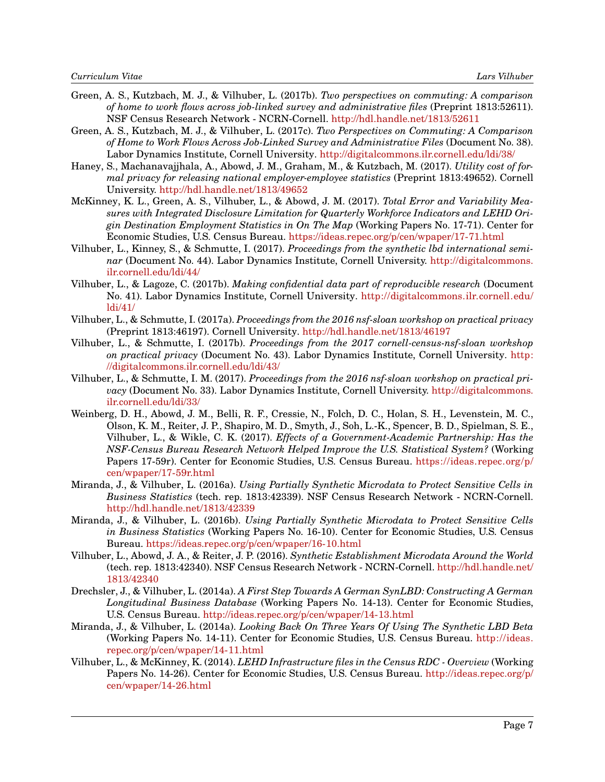- Green, A. S., Kutzbach, M. J., & Vilhuber, L. (2017b). *Two perspectives on commuting: A comparison of home to work flows across job-linked survey and administrative files* (Preprint 1813:52611). NSF Census Research Network - NCRN-Cornell. <http://hdl.handle.net/1813/52611>
- Green, A. S., Kutzbach, M. J., & Vilhuber, L. (2017c). *Two Perspectives on Commuting: A Comparison of Home to Work Flows Across Job-Linked Survey and Administrative Files* (Document No. 38). Labor Dynamics Institute, Cornell University. <http://digitalcommons.ilr.cornell.edu/ldi/38/>
- Haney, S., Machanavajjhala, A., Abowd, J. M., Graham, M., & Kutzbach, M. (2017). *Utility cost of formal privacy for releasing national employer-employee statistics* (Preprint 1813:49652). Cornell University. <http://hdl.handle.net/1813/49652>
- McKinney, K. L., Green, A. S., Vilhuber, L., & Abowd, J. M. (2017). *Total Error and Variability Measures with Integrated Disclosure Limitation for Quarterly Workforce Indicators and LEHD Origin Destination Employment Statistics in On The Map* (Working Papers No. 17-71). Center for Economic Studies, U.S. Census Bureau. <https://ideas.repec.org/p/cen/wpaper/17-71.html>
- Vilhuber, L., Kinney, S., & Schmutte, I. (2017). *Proceedings from the synthetic lbd international seminar* (Document No. 44). Labor Dynamics Institute, Cornell University. [http://digitalcommons.](http://digitalcommons.ilr.cornell.edu/ldi/44/) [ilr.cornell.edu/ldi/44/](http://digitalcommons.ilr.cornell.edu/ldi/44/)
- Vilhuber, L., & Lagoze, C. (2017b). *Making confidential data part of reproducible research* (Document No. 41). Labor Dynamics Institute, Cornell University. [http://digitalcommons.ilr.cornell.edu/](http://digitalcommons.ilr.cornell.edu/ldi/41/) [ldi/41/](http://digitalcommons.ilr.cornell.edu/ldi/41/)
- Vilhuber, L., & Schmutte, I. (2017a). *Proceedings from the 2016 nsf-sloan workshop on practical privacy* (Preprint 1813:46197). Cornell University. <http://hdl.handle.net/1813/46197>
- Vilhuber, L., & Schmutte, I. (2017b). *Proceedings from the 2017 cornell-census-nsf-sloan workshop on practical privacy* (Document No. 43). Labor Dynamics Institute, Cornell University. [http:](http://digitalcommons.ilr.cornell.edu/ldi/43/) [//digitalcommons.ilr.cornell.edu/ldi/43/](http://digitalcommons.ilr.cornell.edu/ldi/43/)
- Vilhuber, L., & Schmutte, I. M. (2017). *Proceedings from the 2016 nsf-sloan workshop on practical privacy* (Document No. 33). Labor Dynamics Institute, Cornell University. [http://digitalcommons.](http://digitalcommons.ilr.cornell.edu/ldi/33/) [ilr.cornell.edu/ldi/33/](http://digitalcommons.ilr.cornell.edu/ldi/33/)
- Weinberg, D. H., Abowd, J. M., Belli, R. F., Cressie, N., Folch, D. C., Holan, S. H., Levenstein, M. C., Olson, K. M., Reiter, J. P., Shapiro, M. D., Smyth, J., Soh, L.-K., Spencer, B. D., Spielman, S. E., Vilhuber, L., & Wikle, C. K. (2017). *Effects of a Government-Academic Partnership: Has the NSF-Census Bureau Research Network Helped Improve the U.S. Statistical System?* (Working Papers 17-59r). Center for Economic Studies, U.S. Census Bureau. [https://ideas.repec.org/p/](https://ideas.repec.org/p/cen/wpaper/17-59r.html) [cen/wpaper/17-59r.html](https://ideas.repec.org/p/cen/wpaper/17-59r.html)
- Miranda, J., & Vilhuber, L. (2016a). *Using Partially Synthetic Microdata to Protect Sensitive Cells in Business Statistics* (tech. rep. 1813:42339). NSF Census Research Network - NCRN-Cornell. <http://hdl.handle.net/1813/42339>
- Miranda, J., & Vilhuber, L. (2016b). *Using Partially Synthetic Microdata to Protect Sensitive Cells in Business Statistics* (Working Papers No. 16-10). Center for Economic Studies, U.S. Census Bureau. <https://ideas.repec.org/p/cen/wpaper/16-10.html>
- Vilhuber, L., Abowd, J. A., & Reiter, J. P. (2016). *Synthetic Establishment Microdata Around the World* (tech. rep. 1813:42340). NSF Census Research Network - NCRN-Cornell. [http://hdl.handle.net/](http://hdl.handle.net/1813/42340) [1813/42340](http://hdl.handle.net/1813/42340)
- Drechsler, J., & Vilhuber, L. (2014a). *A First Step Towards A German SynLBD: Constructing A German Longitudinal Business Database* (Working Papers No. 14-13). Center for Economic Studies, U.S. Census Bureau. <http://ideas.repec.org/p/cen/wpaper/14-13.html>
- Miranda, J., & Vilhuber, L. (2014a). *Looking Back On Three Years Of Using The Synthetic LBD Beta* (Working Papers No. 14-11). Center for Economic Studies, U.S. Census Bureau. [http://ideas.](http://ideas.repec.org/p/cen/wpaper/14-11.html) [repec.org/p/cen/wpaper/14-11.html](http://ideas.repec.org/p/cen/wpaper/14-11.html)
- Vilhuber, L., & McKinney, K. (2014). *LEHD Infrastructure files in the Census RDC Overview* (Working Papers No. 14-26). Center for Economic Studies, U.S. Census Bureau. [http://ideas.repec.org/p/](http://ideas.repec.org/p/cen/wpaper/14-26.html) [cen/wpaper/14-26.html](http://ideas.repec.org/p/cen/wpaper/14-26.html)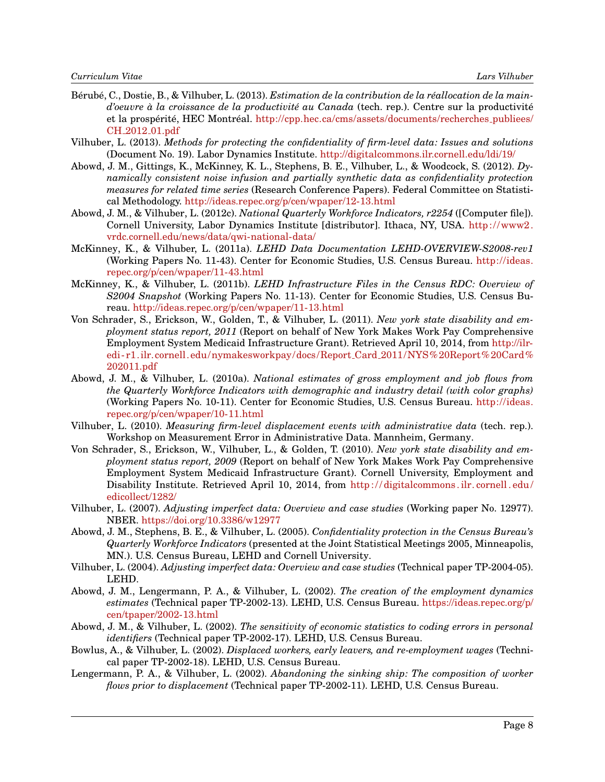- Bérubé, C., Dostie, B., & Vilhuber, L. (2013). *Estimation de la contribution de la réallocation de la maind'oeuvre à la croissance de la productivité au Canada* (tech. rep.). Centre sur la productivité et la prospérité, HEC Montréal. [http://cpp.hec.ca/cms/assets/documents/recherches](http://cpp.hec.ca/cms/assets/documents/recherches_publiees/CH_2012_01.pdf)\_publiees/ CH 2012 [01.pdf](http://cpp.hec.ca/cms/assets/documents/recherches_publiees/CH_2012_01.pdf)
- Vilhuber, L. (2013). *Methods for protecting the confidentiality of firm-level data: Issues and solutions* (Document No. 19). Labor Dynamics Institute. <http://digitalcommons.ilr.cornell.edu/ldi/19/>
- Abowd, J. M., Gittings, K., McKinney, K. L., Stephens, B. E., Vilhuber, L., & Woodcock, S. (2012). *Dynamically consistent noise infusion and partially synthetic data as confidentiality protection measures for related time series* (Research Conference Papers). Federal Committee on Statistical Methodology. <http://ideas.repec.org/p/cen/wpaper/12-13.html>
- Abowd, J. M., & Vilhuber, L. (2012c). *National Quarterly Workforce Indicators, r2254* ([Computer file]). Cornell University, Labor Dynamics Institute [distributor]. Ithaca, NY, USA. [http://www2.](http://www2.vrdc.cornell.edu/news/data/qwi-national-data/) [vrdc.cornell.edu/news/data/qwi-national-data/](http://www2.vrdc.cornell.edu/news/data/qwi-national-data/)
- McKinney, K., & Vilhuber, L. (2011a). *LEHD Data Documentation LEHD-OVERVIEW-S2008-rev1* (Working Papers No. 11-43). Center for Economic Studies, U.S. Census Bureau. [http://ideas.](http://ideas.repec.org/p/cen/wpaper/11-43.html) [repec.org/p/cen/wpaper/11-43.html](http://ideas.repec.org/p/cen/wpaper/11-43.html)
- McKinney, K., & Vilhuber, L. (2011b). *LEHD Infrastructure Files in the Census RDC: Overview of S2004 Snapshot* (Working Papers No. 11-13). Center for Economic Studies, U.S. Census Bureau. <http://ideas.repec.org/p/cen/wpaper/11-13.html>
- Von Schrader, S., Erickson, W., Golden, T., & Vilhuber, L. (2011). *New york state disability and employment status report, 2011* (Report on behalf of New York Makes Work Pay Comprehensive Employment System Medicaid Infrastructure Grant). Retrieved April 10, 2014, from [http://ilr](http://ilr-edi-r1.ilr.cornell.edu/nymakesworkpay/docs/Report_Card_2011/NYS%20Report%20Card%202011.pdf)[edi- r1.ilr.cornell.edu/nymakesworkpay/docs/Report](http://ilr-edi-r1.ilr.cornell.edu/nymakesworkpay/docs/Report_Card_2011/NYS%20Report%20Card%202011.pdf) Card 2011/NYS%20Report%20Card% [202011.pdf](http://ilr-edi-r1.ilr.cornell.edu/nymakesworkpay/docs/Report_Card_2011/NYS%20Report%20Card%202011.pdf)
- Abowd, J. M., & Vilhuber, L. (2010a). *National estimates of gross employment and job flows from the Quarterly Workforce Indicators with demographic and industry detail (with color graphs)* (Working Papers No. 10-11). Center for Economic Studies, U.S. Census Bureau. [http://ideas.](http://ideas.repec.org/p/cen/wpaper/10-11.html) [repec.org/p/cen/wpaper/10-11.html](http://ideas.repec.org/p/cen/wpaper/10-11.html)
- Vilhuber, L. (2010). *Measuring firm-level displacement events with administrative data* (tech. rep.). Workshop on Measurement Error in Administrative Data. Mannheim, Germany.
- Von Schrader, S., Erickson, W., Vilhuber, L., & Golden, T. (2010). *New york state disability and employment status report, 2009* (Report on behalf of New York Makes Work Pay Comprehensive Employment System Medicaid Infrastructure Grant). Cornell University, Employment and Disability Institute. Retrieved April 10, 2014, from http://digitalcommons.ilr.cornell.edu/ [edicollect/1282/](http://digitalcommons.ilr.cornell.edu/edicollect/1282/)
- Vilhuber, L. (2007). *Adjusting imperfect data: Overview and case studies* (Working paper No. 12977). NBER. <https://doi.org/10.3386/w12977>
- Abowd, J. M., Stephens, B. E., & Vilhuber, L. (2005). *Confidentiality protection in the Census Bureau's Quarterly Workforce Indicators* (presented at the Joint Statistical Meetings 2005, Minneapolis, MN.). U.S. Census Bureau, LEHD and Cornell University.
- Vilhuber, L. (2004). *Adjusting imperfect data: Overview and case studies* (Technical paper TP-2004-05). LEHD.
- Abowd, J. M., Lengermann, P. A., & Vilhuber, L. (2002). *The creation of the employment dynamics estimates* (Technical paper TP-2002-13). LEHD, U.S. Census Bureau. [https://ideas.repec.org/p/](https://ideas.repec.org/p/cen/tpaper/2002-13.html) [cen/tpaper/2002-13.html](https://ideas.repec.org/p/cen/tpaper/2002-13.html)
- Abowd, J. M., & Vilhuber, L. (2002). *The sensitivity of economic statistics to coding errors in personal identifiers* (Technical paper TP-2002-17). LEHD, U.S. Census Bureau.
- Bowlus, A., & Vilhuber, L. (2002). *Displaced workers, early leavers, and re-employment wages* (Technical paper TP-2002-18). LEHD, U.S. Census Bureau.
- Lengermann, P. A., & Vilhuber, L. (2002). *Abandoning the sinking ship: The composition of worker flows prior to displacement* (Technical paper TP-2002-11). LEHD, U.S. Census Bureau.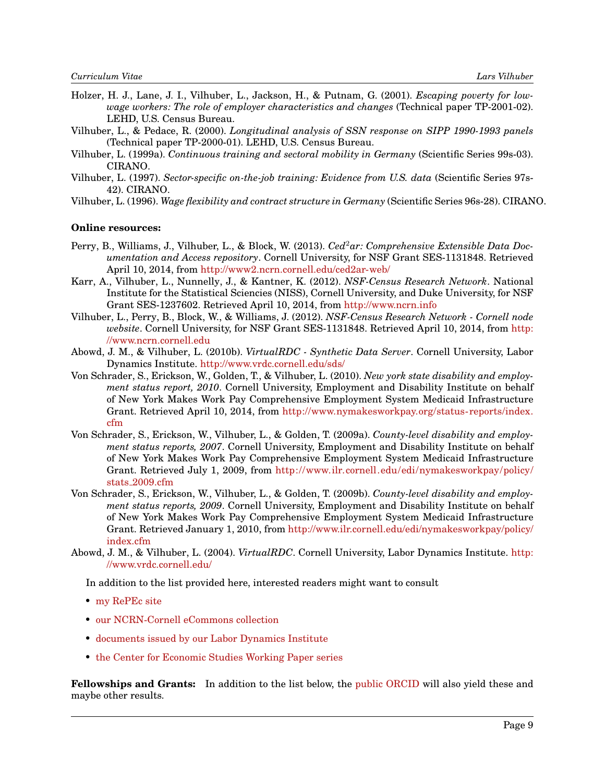- Holzer, H. J., Lane, J. I., Vilhuber, L., Jackson, H., & Putnam, G. (2001). *Escaping poverty for lowwage workers: The role of employer characteristics and changes* (Technical paper TP-2001-02). LEHD, U.S. Census Bureau.
- Vilhuber, L., & Pedace, R. (2000). *Longitudinal analysis of SSN response on SIPP 1990-1993 panels* (Technical paper TP-2000-01). LEHD, U.S. Census Bureau.
- Vilhuber, L. (1999a). *Continuous training and sectoral mobility in Germany* (Scientific Series 99s-03). CIRANO.
- Vilhuber, L. (1997). *Sector-specific on-the-job training: Evidence from U.S. data* (Scientific Series 97s-42). CIRANO.
- Vilhuber, L. (1996). *Wage flexibility and contract structure in Germany* (Scientific Series 96s-28). CIRANO.

#### **Online resources:**

- Perry, B., Williams, J., Vilhuber, L., & Block, W. (2013). *Ced<sup>2</sup>ar: Comprehensive Extensible Data Documentation and Access repository*. Cornell University, for NSF Grant SES-1131848. Retrieved April 10, 2014, from <http://www2.ncrn.cornell.edu/ced2ar-web/>
- Karr, A., Vilhuber, L., Nunnelly, J., & Kantner, K. (2012). *NSF-Census Research Network*. National Institute for the Statistical Sciencies (NISS), Cornell University, and Duke University, for NSF Grant SES-1237602. Retrieved April 10, 2014, from <http://www.ncrn.info>
- Vilhuber, L., Perry, B., Block, W., & Williams, J. (2012). *NSF-Census Research Network Cornell node website*. Cornell University, for NSF Grant SES-1131848. Retrieved April 10, 2014, from [http:](http://www.ncrn.cornell.edu) [//www.ncrn.cornell.edu](http://www.ncrn.cornell.edu)
- Abowd, J. M., & Vilhuber, L. (2010b). *VirtualRDC Synthetic Data Server*. Cornell University, Labor Dynamics Institute. <http://www.vrdc.cornell.edu/sds/>
- Von Schrader, S., Erickson, W., Golden, T., & Vilhuber, L. (2010). *New york state disability and employment status report, 2010*. Cornell University, Employment and Disability Institute on behalf of New York Makes Work Pay Comprehensive Employment System Medicaid Infrastructure Grant. Retrieved April 10, 2014, from [http://www.nymakesworkpay.org/status-reports/index.](http://www.nymakesworkpay.org/status-reports/index.cfm) [cfm](http://www.nymakesworkpay.org/status-reports/index.cfm)
- Von Schrader, S., Erickson, W., Vilhuber, L., & Golden, T. (2009a). *County-level disability and employment status reports, 2007*. Cornell University, Employment and Disability Institute on behalf of New York Makes Work Pay Comprehensive Employment System Medicaid Infrastructure Grant. Retrieved July 1, 2009, from [http://www.ilr.cornell.edu/edi/nymakesworkpay/policy/](http://www.ilr.cornell.edu/edi/nymakesworkpay/policy/stats_2009.cfm) stats [2009.cfm](http://www.ilr.cornell.edu/edi/nymakesworkpay/policy/stats_2009.cfm)
- Von Schrader, S., Erickson, W., Vilhuber, L., & Golden, T. (2009b). *County-level disability and employment status reports, 2009*. Cornell University, Employment and Disability Institute on behalf of New York Makes Work Pay Comprehensive Employment System Medicaid Infrastructure Grant. Retrieved January 1, 2010, from [http://www.ilr.cornell.edu/edi/nymakesworkpay/policy/](http://www.ilr.cornell.edu/edi/nymakesworkpay/policy/index.cfm) [index.cfm](http://www.ilr.cornell.edu/edi/nymakesworkpay/policy/index.cfm)
- Abowd, J. M., & Vilhuber, L. (2004). *VirtualRDC*. Cornell University, Labor Dynamics Institute. [http:](http://www.vrdc.cornell.edu/) [//www.vrdc.cornell.edu/](http://www.vrdc.cornell.edu/)

In addition to the list provided here, interested readers might want to consult

- [my RePEc site](http://ideas.repec.org/e/pvi26.html)
- [our NCRN-Cornell eCommons collection](http://ecommons.library.cornell.edu/handle/1813/30503)
- [documents issued by our Labor Dynamics Institute](http://www.ilr.cornell.edu/LDI/documents/index.html)
- [the Center for Economic Studies Working Paper series](http://ideas.repec.org/s/cen/wpaper.html)

**Fellowships and Grants:** In addition to the list below, the [public ORCID](http://orcid.org/0000-0001-5733-8932) will also yield these and maybe other results.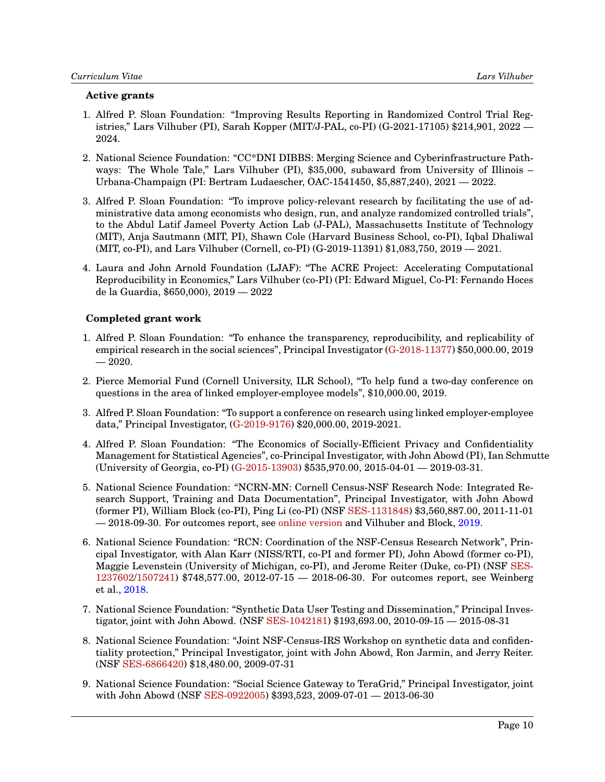# **Active grants**

- 1. Alfred P. Sloan Foundation: "Improving Results Reporting in Randomized Control Trial Registries," Lars Vilhuber (PI), Sarah Kopper (MIT/J-PAL, co-PI) (G-2021-17105) \$214,901, 2022 — 2024.
- 2. National Science Foundation: "CC\*DNI DIBBS: Merging Science and Cyberinfrastructure Pathways: The Whole Tale," Lars Vilhuber (PI), \$35,000, subaward from University of Illinois – Urbana-Champaign (PI: Bertram Ludaescher, OAC-1541450, \$5,887,240), 2021 — 2022.
- 3. Alfred P. Sloan Foundation: "To improve policy-relevant research by facilitating the use of administrative data among economists who design, run, and analyze randomized controlled trials", to the Abdul Latif Jameel Poverty Action Lab (J-PAL), Massachusetts Institute of Technology (MIT), Anja Sautmann (MIT, PI), Shawn Cole (Harvard Business School, co-PI), Iqbal Dhaliwal (MIT, co-PI), and Lars Vilhuber (Cornell, co-PI) (G-2019-11391) \$1,083,750, 2019 — 2021.
- 4. Laura and John Arnold Foundation (LJAF): "The ACRE Project: Accelerating Computational Reproducibility in Economics," Lars Vilhuber (co-PI) (PI: Edward Miguel, Co-PI: Fernando Hoces de la Guardia, \$650,000), 2019 — 2022

# **Completed grant work**

- 1. Alfred P. Sloan Foundation: "To enhance the transparency, reproducibility, and replicability of empirical research in the social sciences", Principal Investigator [\(G-2018-11377\)](https://sloan.org/grant-detail/8801) \$50,000.00, 2019  $-2020.$
- 2. Pierce Memorial Fund (Cornell University, ILR School), "To help fund a two-day conference on questions in the area of linked employer-employee models", \$10,000.00, 2019.
- 3. Alfred P. Sloan Foundation: "To support a conference on research using linked employer-employee data," Principal Investigator, [\(G-2019-9176\)](https://sloan.org/grant-detail/9176) \$20,000.00, 2019-2021.
- 4. Alfred P. Sloan Foundation: "The Economics of Socially-Efficient Privacy and Confidentiality Management for Statistical Agencies", co-Principal Investigator, with John Abowd (PI), Ian Schmutte (University of Georgia, co-PI) [\(G-2015-13903\)](https://sloan.org/grant-detail/6845) \$535,970.00, 2015-04-01 — 2019-03-31.
- 5. National Science Foundation: "NCRN-MN: Cornell Census-NSF Research Node: Integrated Research Support, Training and Data Documentation", Principal Investigator, with John Abowd (former PI), William Block (co-PI), Ping Li (co-PI) (NSF [SES-1131848\)](http://www.nsf.gov/awardsearch/showAward.do?AwardNumber=1131848) \$3,560,887.00, 2011-11-01 — 2018-09-30. For outcomes report, see [online version](https://ncrncornell.github.io/reports/outcomes-report.html) and Vilhuber and Block, [2019.](#page-5-0)
- 6. National Science Foundation: "RCN: Coordination of the NSF-Census Research Network", Principal Investigator, with Alan Karr (NISS/RTI, co-PI and former PI), John Abowd (former co-PI), Maggie Levenstein (University of Michigan, co-PI), and Jerome Reiter (Duke, co-PI) (NSF [SES-](http://www.nsf.gov/awardsearch/showAward.do?AwardNumber=1237602)[1237602](http://www.nsf.gov/awardsearch/showAward.do?AwardNumber=1237602)[/1507241\)](https://www.nsf.gov/awardsearch/showAward?AWD_ID=1507241) \$748,577.00, 2012-07-15 — 2018-06-30. For outcomes report, see Weinberg et al., [2018.](#page-1-0)
- 7. National Science Foundation: "Synthetic Data User Testing and Dissemination," Principal Investigator, joint with John Abowd. (NSF [SES-1042181\)](http://www.nsf.gov/awardsearch/showAward.do?AwardNumber=1042181) \$193,693.00, 2010-09-15 — 2015-08-31
- 8. National Science Foundation: "Joint NSF-Census-IRS Workshop on synthetic data and confidentiality protection," Principal Investigator, joint with John Abowd, Ron Jarmin, and Jerry Reiter. (NSF [SES-6866420\)](http://www.nsf.gov/awardsearch/showAward.do?AwardNumber=6866420) \$18,480.00, 2009-07-31
- 9. National Science Foundation: "Social Science Gateway to TeraGrid," Principal Investigator, joint with John Abowd (NSF [SES-0922005\)](http://www.nsf.gov/awardsearch/showAward.do?AwardNumber=0922005) \$393,523, 2009-07-01 — 2013-06-30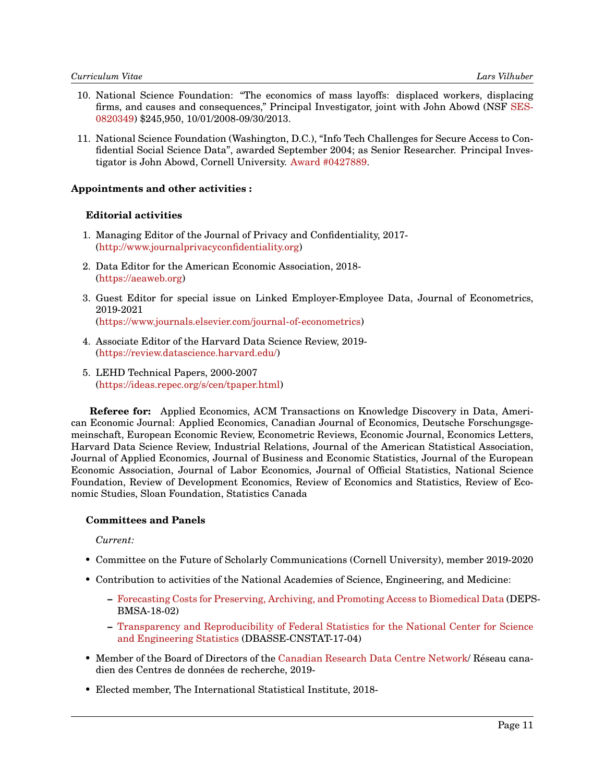- 10. National Science Foundation: "The economics of mass layoffs: displaced workers, displacing firms, and causes and consequences," Principal Investigator, joint with John Abowd (NSF [SES-](http://www.nsf.gov/awardsearch/showAward.do?AwardNumber=082034)[0820349\)](http://www.nsf.gov/awardsearch/showAward.do?AwardNumber=082034) \$245,950, 10/01/2008-09/30/2013.
- 11. National Science Foundation (Washington, D.C.), "Info Tech Challenges for Secure Access to Confidential Social Science Data", awarded September 2004; as Senior Researcher. Principal Investigator is John Abowd, Cornell University. [Award #0427889.](http://www.nsf.gov/awardsearch/showAward.do?AwardNumber=0427889)

## **Appointments and other activities :**

# **Editorial activities**

- 1. Managing Editor of the Journal of Privacy and Confidentiality, 2017- [\(http://www.journalprivacyconfidentiality.org\)](http://www.journalprivacyconfidentiality.org)
- 2. Data Editor for the American Economic Association, 2018- [\(https://aeaweb.org\)](https://aeaweb.org)
- 3. Guest Editor for special issue on Linked Employer-Employee Data, Journal of Econometrics, 2019-2021

[\(https://www.journals.elsevier.com/journal-of-econometrics\)](https://www.journals.elsevier.com/journal-of-econometrics)

- 4. Associate Editor of the Harvard Data Science Review, 2019- [\(https://review.datascience.harvard.edu/\)](https://review.datascience.harvard.edu/)
- 5. LEHD Technical Papers, 2000-2007 [\(https://ideas.repec.org/s/cen/tpaper.html\)](https://ideas.repec.org/s/cen/tpaper.html)

**Referee for:** Applied Economics, ACM Transactions on Knowledge Discovery in Data, American Economic Journal: Applied Economics, Canadian Journal of Economics, Deutsche Forschungsgemeinschaft, European Economic Review, Econometric Reviews, Economic Journal, Economics Letters, Harvard Data Science Review, Industrial Relations, Journal of the American Statistical Association, Journal of Applied Economics, Journal of Business and Economic Statistics, Journal of the European Economic Association, Journal of Labor Economics, Journal of Official Statistics, National Science Foundation, Review of Development Economics, Review of Economics and Statistics, Review of Economic Studies, Sloan Foundation, Statistics Canada

## **Committees and Panels**

*Current:*

- Committee on the Future of Scholarly Communications (Cornell University), member 2019-2020
- Contribution to activities of the National Academies of Science, Engineering, and Medicine:
	- **–** [Forecasting Costs for Preserving, Archiving, and Promoting Access to Biomedical Data](https://www8.nationalacademies.org/pa/projectview.aspx?key=51436) (DEPS-BMSA-18-02)
	- **–** [Transparency and Reproducibility of Federal Statistics for the National Center for Science](https://www8.nationalacademies.org/pa/projectview.aspx?key=51187) [and Engineering Statistics](https://www8.nationalacademies.org/pa/projectview.aspx?key=51187) (DBASSE-CNSTAT-17-04)
- Member of the Board of Directors of the [Canadian Research Data Centre Network/](https://crdcn.org/) Réseau canadien des Centres de données de recherche, 2019-
- Elected member, The International Statistical Institute, 2018-